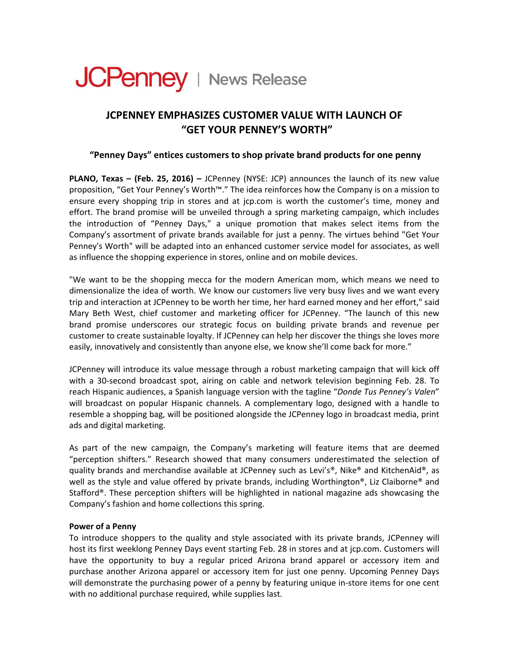

# **JCPENNEY EMPHASIZES CUSTOMER VALUE WITH LAUNCH OF "GET YOUR PENNEY'S WORTH"**

## **"Penney Days" entices customers to shop private brand products for one penny**

**PLANO, Texas – (Feb. 25, 2016) –** JCPenney (NYSE: JCP) announces the launch of its new value proposition, "Get Your Penney's Worth™." The idea reinforces how the Company is on a mission to ensure every shopping trip in stores and at jcp.com is worth the customer's time, money and effort. The brand promise will be unveiled through a spring marketing campaign, which includes the introduction of "Penney Days," a unique promotion that makes select items from the Company's assortment of private brands available for just a penny. The virtues behind "Get Your Penney's Worth" will be adapted into an enhanced customer service model for associates, as well as influence the shopping experience in stores, online and on mobile devices.

"We want to be the shopping mecca for the modern American mom, which means we need to dimensionalize the idea of worth. We know our customers live very busy lives and we want every trip and interaction at JCPenney to be worth her time, her hard earned money and her effort," said Mary Beth West, chief customer and marketing officer for JCPenney. "The launch of this new brand promise underscores our strategic focus on building private brands and revenue per customer to create sustainable loyalty. If JCPenney can help her discover the things she loves more easily, innovatively and consistently than anyone else, we know she'll come back for more."

JCPenney will introduce its value message through a robust marketing campaign that will kick off with a 30-second broadcast spot, airing on cable and network television beginning Feb. 28. To reach Hispanic audiences, a Spanish language version with the tagline "*Donde Tus Penney's Valen*" will broadcast on popular Hispanic channels. A complementary logo, designed with a handle to resemble a shopping bag, will be positioned alongside the JCPenney logo in broadcast media, print ads and digital marketing.

As part of the new campaign, the Company's marketing will feature items that are deemed "perception shifters." Research showed that many consumers underestimated the selection of quality brands and merchandise available at JCPenney such as Levi's®, Nike® and KitchenAid®, as well as the style and value offered by private brands, including Worthington®, Liz Claiborne® and Stafford®. These perception shifters will be highlighted in national magazine ads showcasing the Company's fashion and home collections this spring.

### **Power of a Penny**

To introduce shoppers to the quality and style associated with its private brands, JCPenney will host its first weeklong Penney Days event starting Feb. 28 in stores and at jcp.com. Customers will have the opportunity to buy a regular priced Arizona brand apparel or accessory item and purchase another Arizona apparel or accessory item for just one penny. Upcoming Penney Days will demonstrate the purchasing power of a penny by featuring unique in-store items for one cent with no additional purchase required, while supplies last.